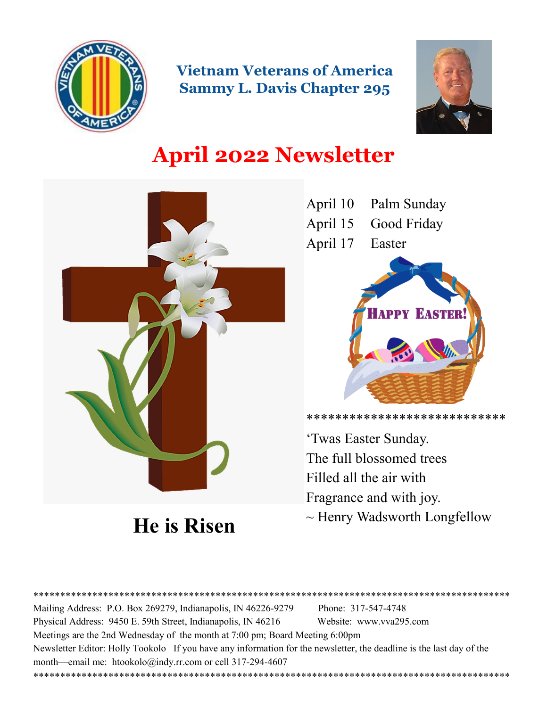

**Vietnam Veterans of America Sammy L. Davis Chapter 295**



# **April 2022 Newsletter**



**He is Risen**

April 10 Palm Sunday April 15 Good Friday April 17 Easter **APPY EASTER** 

\*\*\*\*\*\*\*\*\*\*\*\*\*\*\*\*\*\*\*\*\*\*\*\*\*\*\*\*

'Twas Easter Sunday. The full blossomed trees Filled all the air with Fragrance and with joy.  $\sim$  Henry Wadsworth Longfellow

\*\*\*\*\*\*\*\*\*\*\*\*\*\*\*\*\*\*\*\*\*\*\*\*\*\*\*\*\*\*\*\*\*\*\*\*\*\*\*\*\*\*\*\*\*\*\*\*\*\*\*\*\*\*\*\*\*\*\*\*\*\*\*\*\*\*\*\*\*\*\*\*\*\*\*\*\*\*\*\*\*\*\*\*\*\*\*\*\* Mailing Address: P.O. Box 269279, Indianapolis, IN 46226-9279 Phone: 317-547-4748 Physical Address: 9450 E. 59th Street, Indianapolis, IN 46216 Website: www.vva295.com Meetings are the 2nd Wednesday of the month at 7:00 pm; Board Meeting 6:00pm Newsletter Editor: Holly Tookolo If you have any information for the newsletter, the deadline is the last day of the month—email me: htookolo@indy.rr.com or cell 317-294-4607 \*\*\*\*\*\*\*\*\*\*\*\*\*\*\*\*\*\*\*\*\*\*\*\*\*\*\*\*\*\*\*\*\*\*\*\*\*\*\*\*\*\*\*\*\*\*\*\*\*\*\*\*\*\*\*\*\*\*\*\*\*\*\*\*\*\*\*\*\*\*\*\*\*\*\*\*\*\*\*\*\*\*\*\*\*\*\*\*\*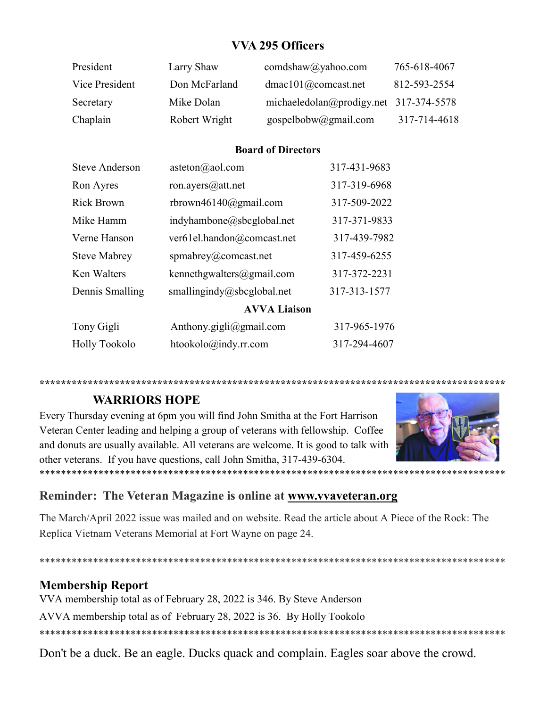## **VVA 295 Officers**

| President      | Larry Shaw    | comdshaw@yahoo.com                       | 765-618-4067 |
|----------------|---------------|------------------------------------------|--------------|
| Vice President | Don McFarland | dmac101@comcast.net                      | 812-593-2554 |
| Secretary      | Mike Dolan    | michaeledolan@prodigy.net $317-374-5578$ |              |
| Chaplain       | Robert Wright | gospelbobw@gmail.com                     | 317-714-4618 |

#### **Board of Directors**

| <b>Steve Anderson</b> | asteton(a) aol.com             | 317-431-9683 |
|-----------------------|--------------------------------|--------------|
| Ron Ayres             | ron.ayers@att.net              | 317-319-6968 |
| <b>Rick Brown</b>     | rbrown46140@gmail.com          | 317-509-2022 |
| Mike Hamm             | indyhambone@sbcglobal.net      | 317-371-9833 |
| Verne Hanson          | ver61el.handon@comcast.net     | 317-439-7982 |
| <b>Steve Mabrey</b>   | spmabrey@comcast.net           | 317-459-6255 |
| Ken Walters           | kennethgwalters@gmail.com      | 317-372-2231 |
| Dennis Smalling       | smallingindy@sbcglobal.net     | 317-313-1577 |
|                       | <b>AVVA Liaison</b>            |              |
| Tony Gigli            | Anthony.gigli@gmail.com        | 317-965-1976 |
| <b>Holly Tookolo</b>  | $htookolo(\omega)$ indy.rr.com | 317-294-4607 |
|                       |                                |              |

**\*\*\*\*\*\*\*\*\*\*\*\*\*\*\*\*\*\*\*\*\*\*\*\*\*\*\*\*\*\*\*\*\*\*\*\*\*\*\*\*\*\*\*\*\*\*\*\*\*\*\*\*\*\*\*\*\*\*\*\*\*\*\*\*\*\*\*\*\*\*\*\*\*\*\*\*\*\*\*\*\*\*\*\*\*\*\***

#### **WARRIORS HOPE**

Every Thursday evening at 6pm you will find John Smitha at the Fort Harrison Veteran Center leading and helping a group of veterans with fellowship. Coffee and donuts are usually available. All veterans are welcome. It is good to talk with other veterans. If you have questions, call John Smitha, 317-439-6304. \*\*\*\*\*\*\*\*\*\*\*\*\*\*\*\*\*\*\*\*\*\*\*\*\*\*\*\*\*\*\*\*\*\*\*\*\*\*\*\*\*\*\*\*\*\*\*\*\*\*\*\*\*\*\*\*\*\*\*\*\*\*\*\*\*\*\*\*\*\*\*\*\*\*\*\*\*\*\*\*\*\*\*\*\*\*\*



## **Reminder: The Veteran Magazine is online at [www.vvaveteran.org](https://avva.us9.list-manage.com/track/click?u=4ab4860ec05a1a8f83e175e63&id=738858a3be&e=672acd907e)**

The March/April 2022 issue was mailed and on website. Read the article about A Piece of the Rock: The Replica Vietnam Veterans Memorial at Fort Wayne on page 24.

\*\*\*\*\*\*\*\*\*\*\*\*\*\*\*\*\*\*\*\*\*\*\*\*\*\*\*\*\*\*\*\*\*\*\*\*\*\*\*\*\*\*\*\*\*\*\*\*\*\*\*\*\*\*\*\*\*\*\*\*\*\*\*\*\*\*\*\*\*\*\*\*\*\*\*\*\*\*\*\*\*\*\*\*\*\*\*

## **Membership Report**

VVA membership total as of February 28, 2022 is 346. By Steve Anderson

AVVA membership total as of February 28, 2022 is 36. By Holly Tookolo

\*\*\*\*\*\*\*\*\*\*\*\*\*\*\*\*\*\*\*\*\*\*\*\*\*\*\*\*\*\*\*\*\*\*\*\*\*\*\*\*\*\*\*\*\*\*\*\*\*\*\*\*\*\*\*\*\*\*\*\*\*\*\*\*\*\*\*\*\*\*\*\*\*\*\*\*\*\*\*\*\*\*\*\*\*\*\*

Don't be a duck. Be an eagle. Ducks quack and complain. Eagles soar above the crowd.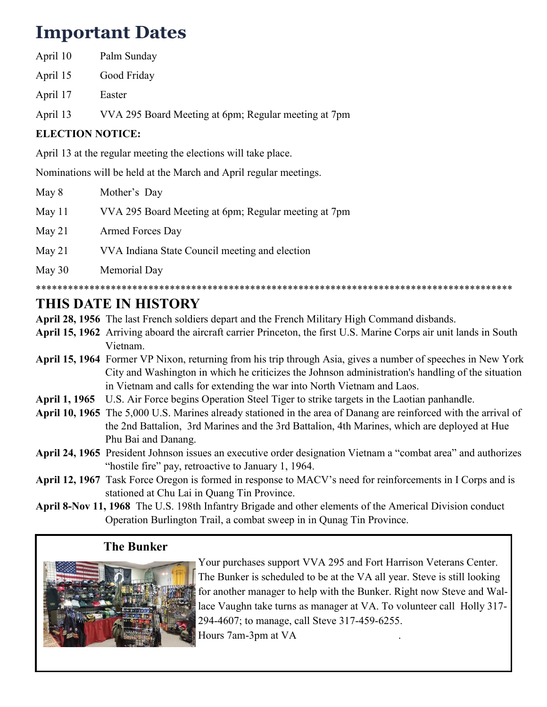## **Important Dates**

| April 10 | Palm Sunday |
|----------|-------------|
|          |             |

- April 15 Good Friday
- April 17 Easter
- April 13 VVA 295 Board Meeting at 6pm; Regular meeting at 7pm

## **ELECTION NOTICE:**

April 13 at the regular meeting the elections will take place.

Nominations will be held at the March and April regular meetings.

- May 8 Mother's Day
- May 11 VVA 295 Board Meeting at 6pm; Regular meeting at 7pm

May 21 Armed Forces Day

- May 21 VVA Indiana State Council meeting and election
- May 30 Memorial Day

\*\*\*\*\*\*\*\*\*\*\*\*\*\*\*\*\*\*\*\*\*\*\*\*\*\*\*\*\*\*\*\*\*\*\*\*\*\*\*\*\*\*\*\*\*\*\*\*\*\*\*\*\*\*\*\*\*\*\*\*\*\*\*\*\*\*\*\*\*\*\*\*\*\*\*\*\*\*\*\*\*\*\*\*\*\*\*\*\*

## **THIS DATE IN HISTORY**

**April 28, 1956** The last French soldiers depart and the French Military High Command disbands.

- **April 15, 1962** Arriving aboard the aircraft carrier Princeton, the first U.S. Marine Corps air unit lands in South Vietnam.
- **April 15, 1964** Former VP Nixon, returning from his trip through Asia, gives a number of speeches in New York City and Washington in which he criticizes the Johnson administration's handling of the situation in Vietnam and calls for extending the war into North Vietnam and Laos.
- **April 1, 1965** U.S. Air Force begins Operation Steel Tiger to strike targets in the Laotian panhandle.
- **April 10, 1965** The 5,000 U.S. Marines already stationed in the area of Danang are reinforced with the arrival of the 2nd Battalion, 3rd Marines and the 3rd Battalion, 4th Marines, which are deployed at Hue Phu Bai and Danang.
- **April 24, 1965** President Johnson issues an executive order designation Vietnam a "combat area" and authorizes "hostile fire" pay, retroactive to January 1, 1964.
- **April 12, 1967** Task Force Oregon is formed in response to MACV's need for reinforcements in I Corps and is stationed at Chu Lai in Quang Tin Province.
- **April 8-Nov 11, 1968** The U.S. 198th Infantry Brigade and other elements of the Americal Division conduct Operation Burlington Trail, a combat sweep in in Qunag Tin Province.

## **The Bunker**



Your purchases support VVA 295 and Fort Harrison Veterans Center. The Bunker is scheduled to be at the VA all year. Steve is still looking for another manager to help with the Bunker. Right now Steve and Wallace Vaughn take turns as manager at VA. To volunteer call Holly 317- 294-4607; to manage, call Steve 317-459-6255. Hours 7am-3pm at VA .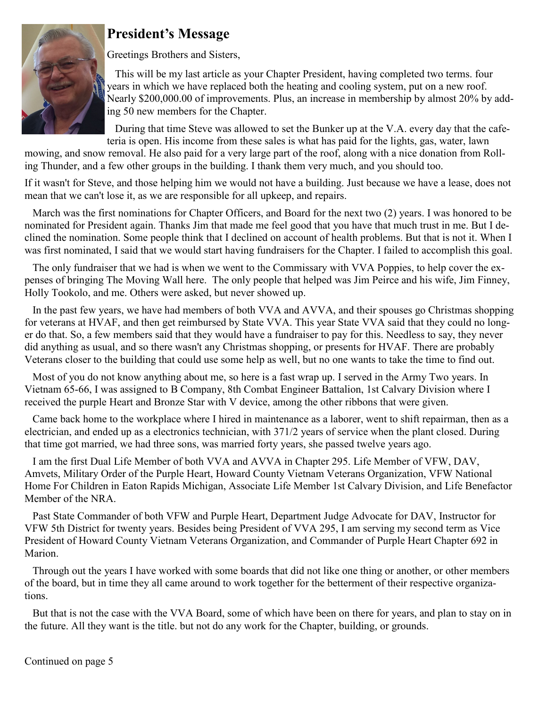

## **President's Message**

Greetings Brothers and Sisters,

This will be my last article as your Chapter President, having completed two terms. four years in which we have replaced both the heating and cooling system, put on a new roof. Nearly \$200,000.00 of improvements. Plus, an increase in membership by almost 20% by adding 50 new members for the Chapter.

During that time Steve was allowed to set the Bunker up at the V.A. every day that the cafeteria is open. His income from these sales is what has paid for the lights, gas, water, lawn

mowing, and snow removal. He also paid for a very large part of the roof, along with a nice donation from Rolling Thunder, and a few other groups in the building. I thank them very much, and you should too.

If it wasn't for Steve, and those helping him we would not have a building. Just because we have a lease, does not mean that we can't lose it, as we are responsible for all upkeep, and repairs.

March was the first nominations for Chapter Officers, and Board for the next two (2) years. I was honored to be nominated for President again. Thanks Jim that made me feel good that you have that much trust in me. But I declined the nomination. Some people think that I declined on account of health problems. But that is not it. When I was first nominated, I said that we would start having fundraisers for the Chapter. I failed to accomplish this goal.

The only fundraiser that we had is when we went to the Commissary with VVA Poppies, to help cover the expenses of bringing The Moving Wall here. The only people that helped was Jim Peirce and his wife, Jim Finney, Holly Tookolo, and me. Others were asked, but never showed up.

In the past few years, we have had members of both VVA and AVVA, and their spouses go Christmas shopping for veterans at HVAF, and then get reimbursed by State VVA. This year State VVA said that they could no longer do that. So, a few members said that they would have a fundraiser to pay for this. Needless to say, they never did anything as usual, and so there wasn't any Christmas shopping, or presents for HVAF. There are probably Veterans closer to the building that could use some help as well, but no one wants to take the time to find out.

Most of you do not know anything about me, so here is a fast wrap up. I served in the Army Two years. In Vietnam 65-66, I was assigned to B Company, 8th Combat Engineer Battalion, 1st Calvary Division where I received the purple Heart and Bronze Star with V device, among the other ribbons that were given.

Came back home to the workplace where I hired in maintenance as a laborer, went to shift repairman, then as a electrician, and ended up as a electronics technician, with 371/2 years of service when the plant closed. During that time got married, we had three sons, was married forty years, she passed twelve years ago.

I am the first Dual Life Member of both VVA and AVVA in Chapter 295. Life Member of VFW, DAV, Amvets, Military Order of the Purple Heart, Howard County Vietnam Veterans Organization, VFW National Home For Children in Eaton Rapids Michigan, Associate Life Member 1st Calvary Division, and Life Benefactor Member of the NRA.

Past State Commander of both VFW and Purple Heart, Department Judge Advocate for DAV, Instructor for VFW 5th District for twenty years. Besides being President of VVA 295, I am serving my second term as Vice President of Howard County Vietnam Veterans Organization, and Commander of Purple Heart Chapter 692 in Marion.

Through out the years I have worked with some boards that did not like one thing or another, or other members of the board, but in time they all came around to work together for the betterment of their respective organizations.

But that is not the case with the VVA Board, some of which have been on there for years, and plan to stay on in the future. All they want is the title. but not do any work for the Chapter, building, or grounds.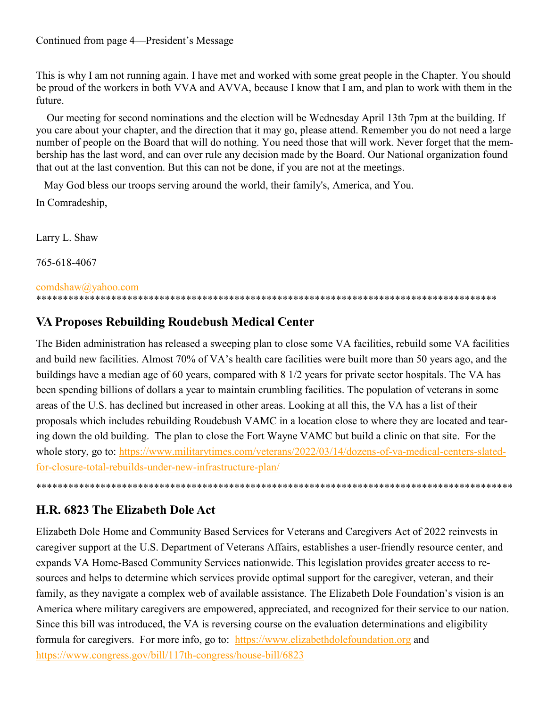This is why I am not running again. I have met and worked with some great people in the Chapter. You should be proud of the workers in both VVA and AVVA, because I know that I am, and plan to work with them in the future.

Our meeting for second nominations and the election will be Wednesday April 13th 7pm at the building. If you care about your chapter, and the direction that it may go, please attend. Remember you do not need a large number of people on the Board that will do nothing. You need those that will work. Never forget that the membership has the last word, and can over rule any decision made by the Board. Our National organization found that out at the last convention. But this can not be done, if you are not at the meetings.

May God bless our troops serving around the world, their family's, America, and You. In Comradeship,

Larry L. Shaw

765-618-4067

#### [comdshaw@yahoo.com](mailto:comdshaw@yahoo.com)

#### \*\*\*\*\*\*\*\*\*\*\*\*\*\*\*\*\*\*\*\*\*\*\*\*\*\*\*\*\*\*\*\*\*\*\*\*\*\*\*\*\*\*\*\*\*\*\*\*\*\*\*\*\*\*\*\*\*\*\*\*\*\*\*\*\*\*\*\*\*\*\*\*\*\*\*\*\*\*\*\*\*\*\*\*\*\*

## **VA Proposes Rebuilding Roudebush Medical Center**

The Biden administration has released a sweeping plan to close some VA facilities, rebuild some VA facilities and build new facilities. Almost 70% of VA's health care facilities were built more than 50 years ago, and the buildings have a median age of 60 years, compared with 8 1/2 years for private sector hospitals. The VA has been spending billions of dollars a year to maintain crumbling facilities. The population of veterans in some areas of the U.S. has declined but increased in other areas. Looking at all this, the VA has a list of their proposals which includes rebuilding Roudebush VAMC in a location close to where they are located and tearing down the old building. The plan to close the Fort Wayne VAMC but build a clinic on that site. For the whole story, go to: [https://www.militarytimes.com/veterans/2022/03/14/dozens](https://www.militarytimes.com/veterans/2022/03/14/dozens-of-va-medical-centers-slated-for-closure-total-rebuilds-under-new-infrastructure-plan/)-of-va-medical-centers-slatedfor-closure-total-rebuilds-under-new-[infrastructure](https://www.militarytimes.com/veterans/2022/03/14/dozens-of-va-medical-centers-slated-for-closure-total-rebuilds-under-new-infrastructure-plan/)-plan/

\*\*\*\*\*\*\*\*\*\*\*\*\*\*\*\*\*\*\*\*\*\*\*\*\*\*\*\*\*\*\*\*\*\*\*\*\*\*\*\*\*\*\*\*\*\*\*\*\*\*\*\*\*\*\*\*\*\*\*\*\*\*\*\*\*\*\*\*\*\*\*\*\*\*\*\*\*\*\*\*\*\*\*\*\*\*\*\*\*

## **H.R. 6823 The Elizabeth Dole Act**

Elizabeth Dole Home and Community Based Services for Veterans and Caregivers Act of 2022 reinvests in caregiver support at the U.S. Department of Veterans Affairs, establishes a user-friendly resource center, and expands VA Home-Based Community Services nationwide. This legislation provides greater access to resources and helps to determine which services provide optimal support for the caregiver, veteran, and their family, as they navigate a complex web of available assistance. The Elizabeth Dole Foundation's vision is an America where military caregivers are empowered, appreciated, and recognized for their service to our nation. Since this bill was introduced, the VA is reversing course on the evaluation determinations and eligibility formula for caregivers. For more info, go to: <https://www.elizabethdolefoundation.org> and [https://www.congress.gov/bill/117th](https://www.congress.gov/bill/117th-congress/house-bill/6823)-congress/house-bill/6823